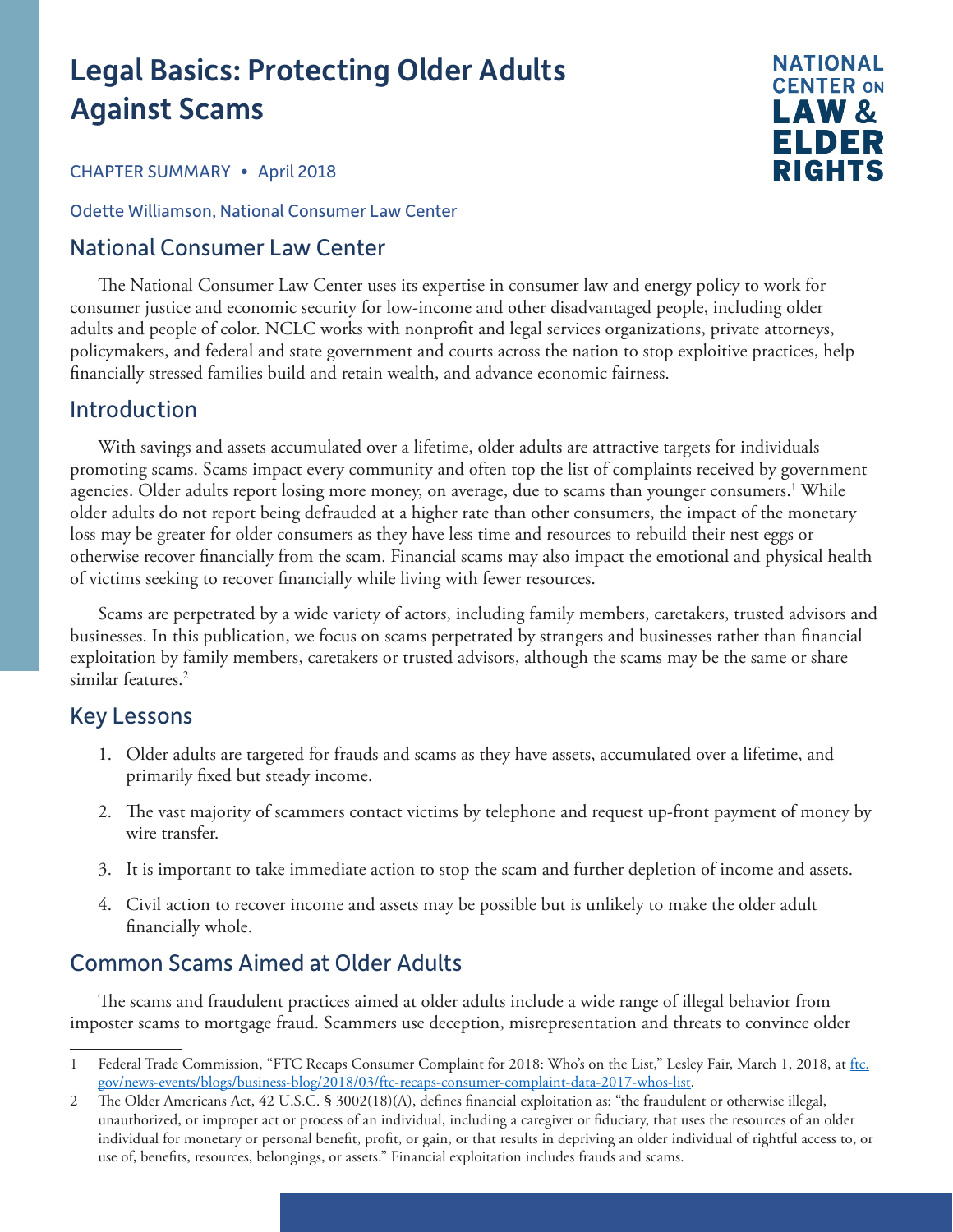# Legal Basics: Protecting Older Adults Against Scams



#### CHAPTER SUMMARY • April 2018

Odette Williamson, National Consumer Law Center

## National Consumer Law Center

The National Consumer Law Center uses its expertise in consumer law and energy policy to work for consumer justice and economic security for low-income and other disadvantaged people, including older adults and people of color. NCLC works with nonprofit and legal services organizations, private attorneys, policymakers, and federal and state government and courts across the nation to stop exploitive practices, help financially stressed families build and retain wealth, and advance economic fairness.

## Introduction

With savings and assets accumulated over a lifetime, older adults are attractive targets for individuals promoting scams. Scams impact every community and often top the list of complaints received by government agencies. Older adults report losing more money, on average, due to scams than younger consumers.<sup>1</sup> While older adults do not report being defrauded at a higher rate than other consumers, the impact of the monetary loss may be greater for older consumers as they have less time and resources to rebuild their nest eggs or otherwise recover financially from the scam. Financial scams may also impact the emotional and physical health of victims seeking to recover financially while living with fewer resources.

Scams are perpetrated by a wide variety of actors, including family members, caretakers, trusted advisors and businesses. In this publication, we focus on scams perpetrated by strangers and businesses rather than financial exploitation by family members, caretakers or trusted advisors, although the scams may be the same or share similar features.<sup>2</sup>

## Key Lessons

- 1. Older adults are targeted for frauds and scams as they have assets, accumulated over a lifetime, and primarily fixed but steady income.
- 2. The vast majority of scammers contact victims by telephone and request up-front payment of money by wire transfer.
- 3. It is important to take immediate action to stop the scam and further depletion of income and assets.
- 4. Civil action to recover income and assets may be possible but is unlikely to make the older adult financially whole.

# Common Scams Aimed at Older Adults

The scams and fraudulent practices aimed at older adults include a wide range of illegal behavior from imposter scams to mortgage fraud. Scammers use deception, misrepresentation and threats to convince older

<sup>1</sup> Federal Trade Commission, "FTC Recaps Consumer Complaint for 2018: Who's on the List," Lesley Fair, March 1, 2018, at [ftc.](https://www.ftc.gov/news-events/blogs/business-blog/2018/03/ftc-recaps-consumer-complaint-data-2017-whos-list) [gov/news-events/blogs/business-blog/2018/03/ftc-recaps-consumer-complaint-data-2017-whos-list.](https://www.ftc.gov/news-events/blogs/business-blog/2018/03/ftc-recaps-consumer-complaint-data-2017-whos-list)

<sup>2</sup> The Older Americans Act, 42 U.S.C. § 3002(18)(A), defines financial exploitation as: "the fraudulent or otherwise illegal, unauthorized, or improper act or process of an individual, including a caregiver or fiduciary, that uses the resources of an older individual for monetary or personal benefit, profit, or gain, or that results in depriving an older individual of rightful access to, or use of, benefits, resources, belongings, or assets." Financial exploitation includes frauds and scams.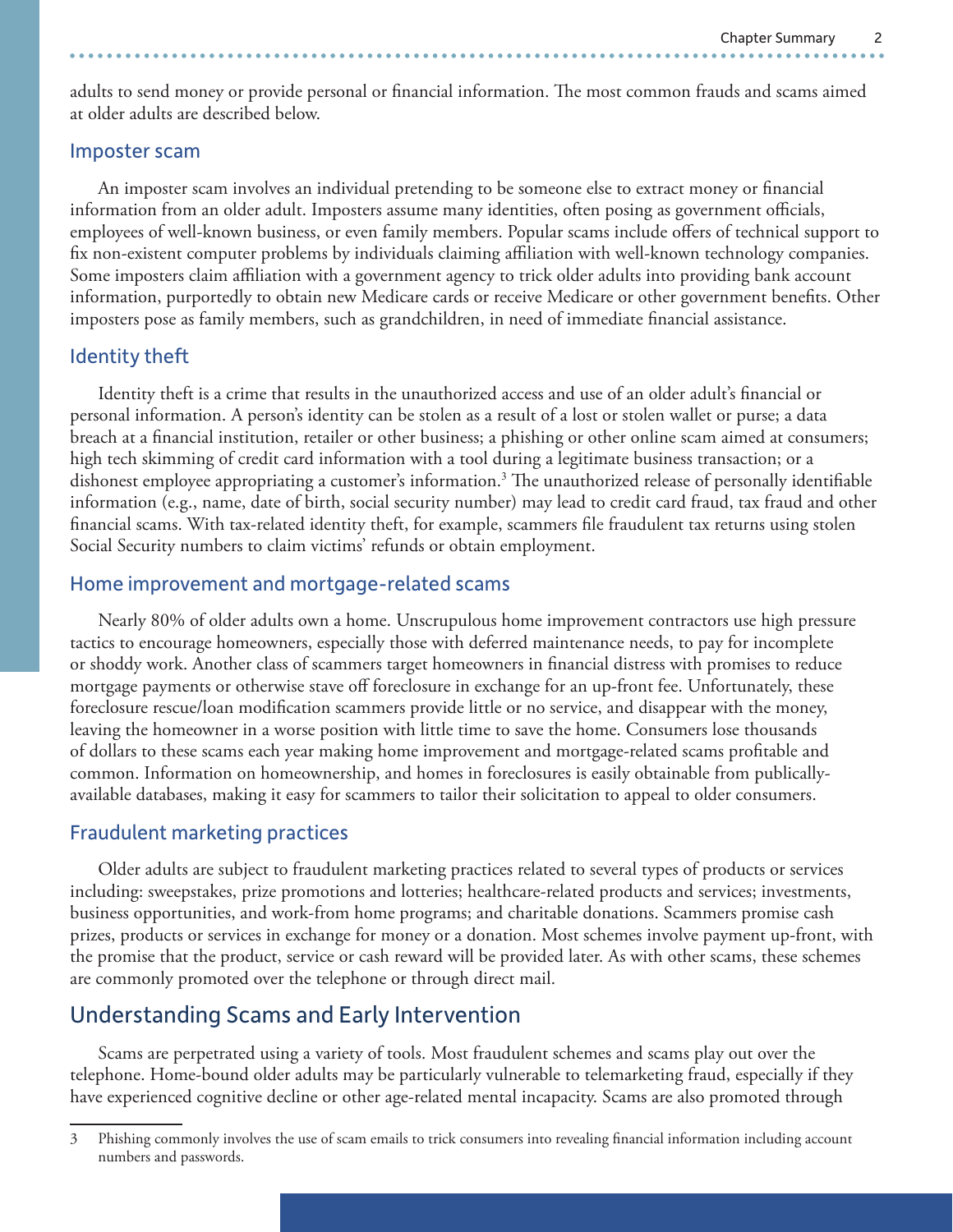adults to send money or provide personal or financial information. The most common frauds and scams aimed at older adults are described below.

#### Imposter scam

An imposter scam involves an individual pretending to be someone else to extract money or financial information from an older adult. Imposters assume many identities, often posing as government officials, employees of well-known business, or even family members. Popular scams include offers of technical support to fix non-existent computer problems by individuals claiming affiliation with well-known technology companies. Some imposters claim affiliation with a government agency to trick older adults into providing bank account information, purportedly to obtain new Medicare cards or receive Medicare or other government benefits. Other imposters pose as family members, such as grandchildren, in need of immediate financial assistance.

#### Identity theft

Identity theft is a crime that results in the unauthorized access and use of an older adult's financial or personal information. A person's identity can be stolen as a result of a lost or stolen wallet or purse; a data breach at a financial institution, retailer or other business; a phishing or other online scam aimed at consumers; high tech skimming of credit card information with a tool during a legitimate business transaction; or a dishonest employee appropriating a customer's information.<sup>3</sup> The unauthorized release of personally identifiable information (e.g., name, date of birth, social security number) may lead to credit card fraud, tax fraud and other financial scams. With tax-related identity theft, for example, scammers file fraudulent tax returns using stolen Social Security numbers to claim victims' refunds or obtain employment.

#### Home improvement and mortgage-related scams

Nearly 80% of older adults own a home. Unscrupulous home improvement contractors use high pressure tactics to encourage homeowners, especially those with deferred maintenance needs, to pay for incomplete or shoddy work. Another class of scammers target homeowners in financial distress with promises to reduce mortgage payments or otherwise stave off foreclosure in exchange for an up-front fee. Unfortunately, these foreclosure rescue/loan modification scammers provide little or no service, and disappear with the money, leaving the homeowner in a worse position with little time to save the home. Consumers lose thousands of dollars to these scams each year making home improvement and mortgage-related scams profitable and common. Information on homeownership, and homes in foreclosures is easily obtainable from publicallyavailable databases, making it easy for scammers to tailor their solicitation to appeal to older consumers.

#### Fraudulent marketing practices

Older adults are subject to fraudulent marketing practices related to several types of products or services including: sweepstakes, prize promotions and lotteries; healthcare-related products and services; investments, business opportunities, and work-from home programs; and charitable donations. Scammers promise cash prizes, products or services in exchange for money or a donation. Most schemes involve payment up-front, with the promise that the product, service or cash reward will be provided later. As with other scams, these schemes are commonly promoted over the telephone or through direct mail.

## Understanding Scams and Early Intervention

Scams are perpetrated using a variety of tools. Most fraudulent schemes and scams play out over the telephone. Home-bound older adults may be particularly vulnerable to telemarketing fraud, especially if they have experienced cognitive decline or other age-related mental incapacity. Scams are also promoted through

<sup>3</sup> Phishing commonly involves the use of scam emails to trick consumers into revealing financial information including account numbers and passwords.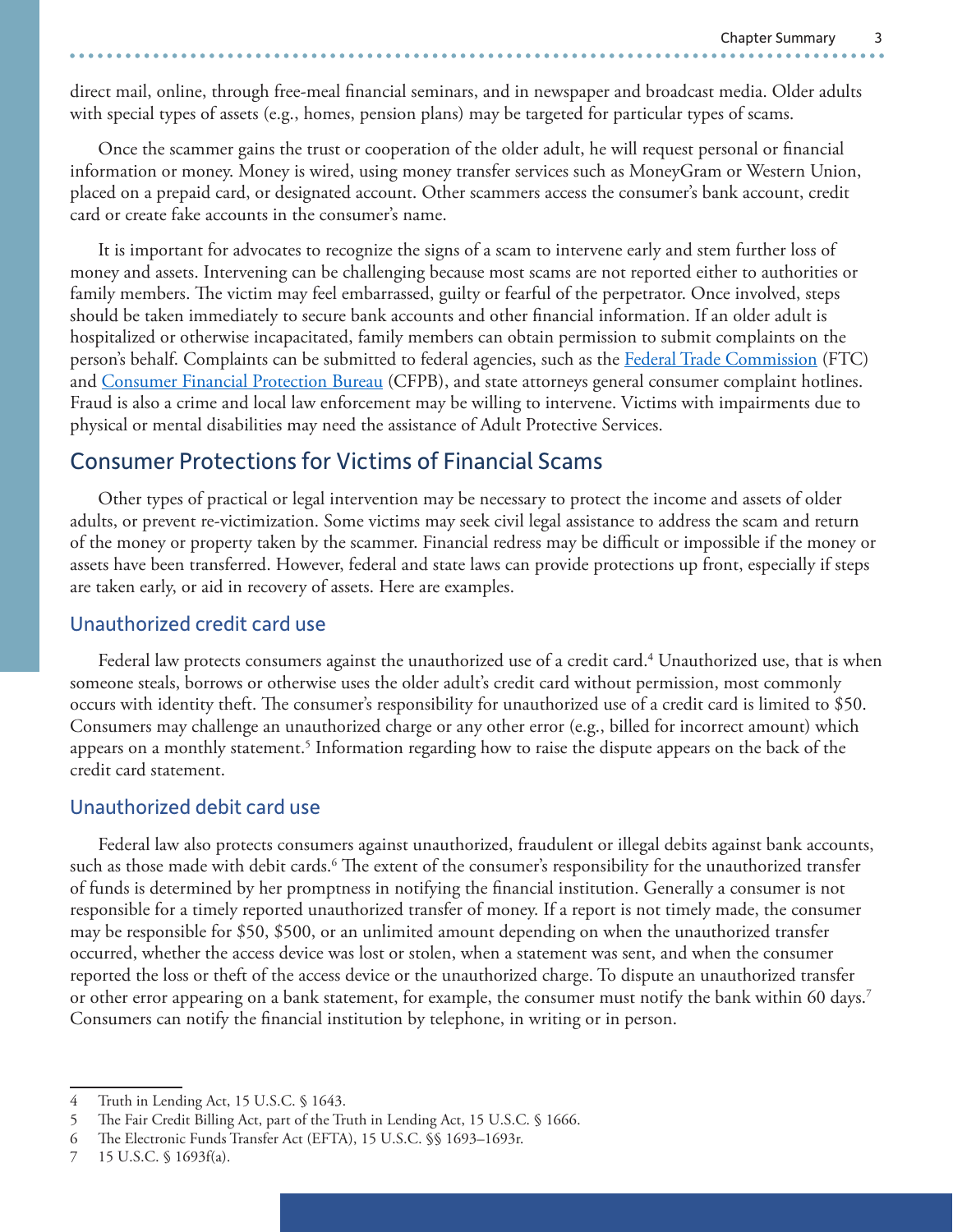direct mail, online, through free-meal financial seminars, and in newspaper and broadcast media. Older adults with special types of assets (e.g., homes, pension plans) may be targeted for particular types of scams.

Once the scammer gains the trust or cooperation of the older adult, he will request personal or financial information or money. Money is wired, using money transfer services such as MoneyGram or Western Union, placed on a prepaid card, or designated account. Other scammers access the consumer's bank account, credit card or create fake accounts in the consumer's name.

It is important for advocates to recognize the signs of a scam to intervene early and stem further loss of money and assets. Intervening can be challenging because most scams are not reported either to authorities or family members. The victim may feel embarrassed, guilty or fearful of the perpetrator. Once involved, steps should be taken immediately to secure bank accounts and other financial information. If an older adult is hospitalized or otherwise incapacitated, family members can obtain permission to submit complaints on the person's behalf. Complaints can be submitted to federal agencies, such as the [Federal Trade Commission](https://www.ftc.gov) (FTC) and [Consumer Financial Protection Bureau](https://www.consumerfinance.gov/complaint/getting-started/) (CFPB), and state attorneys general consumer complaint hotlines. Fraud is also a crime and local law enforcement may be willing to intervene. Victims with impairments due to physical or mental disabilities may need the assistance of Adult Protective Services.

## Consumer Protections for Victims of Financial Scams

Other types of practical or legal intervention may be necessary to protect the income and assets of older adults, or prevent re-victimization. Some victims may seek civil legal assistance to address the scam and return of the money or property taken by the scammer. Financial redress may be difficult or impossible if the money or assets have been transferred. However, federal and state laws can provide protections up front, especially if steps are taken early, or aid in recovery of assets. Here are examples.

#### Unauthorized credit card use

Federal law protects consumers against the unauthorized use of a credit card.<sup>4</sup> Unauthorized use, that is when someone steals, borrows or otherwise uses the older adult's credit card without permission, most commonly occurs with identity theft. The consumer's responsibility for unauthorized use of a credit card is limited to \$50. Consumers may challenge an unauthorized charge or any other error (e.g., billed for incorrect amount) which appears on a monthly statement.<sup>5</sup> Information regarding how to raise the dispute appears on the back of the credit card statement.

#### Unauthorized debit card use

Federal law also protects consumers against unauthorized, fraudulent or illegal debits against bank accounts, such as those made with debit cards.<sup>6</sup> The extent of the consumer's responsibility for the unauthorized transfer of funds is determined by her promptness in notifying the financial institution. Generally a consumer is not responsible for a timely reported unauthorized transfer of money. If a report is not timely made, the consumer may be responsible for \$50, \$500, or an unlimited amount depending on when the unauthorized transfer occurred, whether the access device was lost or stolen, when a statement was sent, and when the consumer reported the loss or theft of the access device or the unauthorized charge. To dispute an unauthorized transfer or other error appearing on a bank statement, for example, the consumer must notify the bank within 60 days.7 Consumers can notify the financial institution by telephone, in writing or in person.

<sup>4</sup> Truth in Lending Act, 15 U.S.C. § 1643.

<sup>5</sup> The Fair Credit Billing Act, part of the Truth in Lending Act, 15 U.S.C. § 1666.

<sup>6</sup> The Electronic Funds Transfer Act (EFTA), 15 U.S.C. §§ 1693–1693r.

<sup>7</sup> 15 U.S.C. § 1693f(a).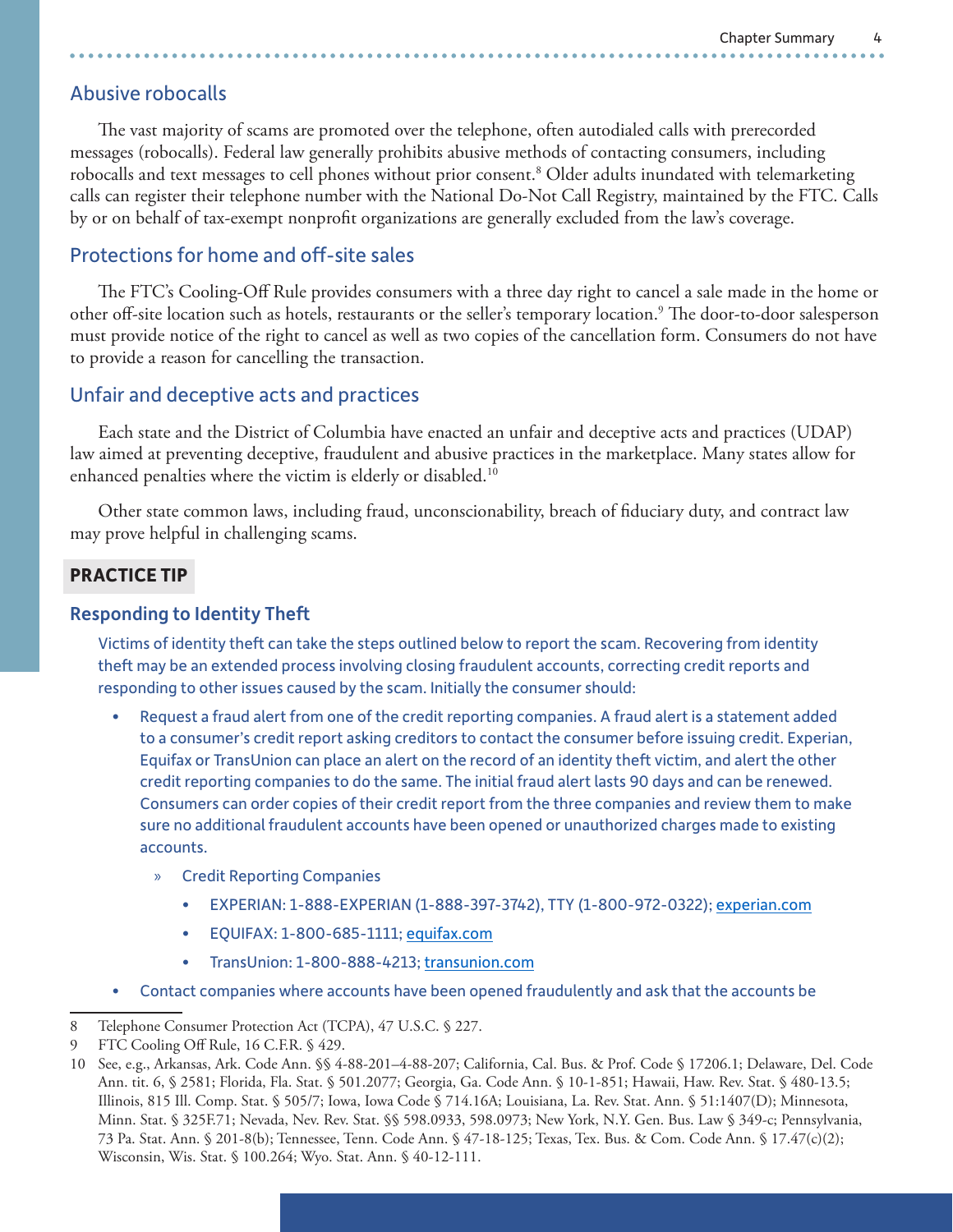## Abusive robocalls

The vast majority of scams are promoted over the telephone, often autodialed calls with prerecorded messages (robocalls). Federal law generally prohibits abusive methods of contacting consumers, including robocalls and text messages to cell phones without prior consent.8 Older adults inundated with telemarketing calls can register their telephone number with the National Do-Not Call Registry, maintained by the FTC. Calls by or on behalf of tax-exempt nonprofit organizations are generally excluded from the law's coverage.

## Protections for home and off-site sales

The FTC's Cooling-Off Rule provides consumers with a three day right to cancel a sale made in the home or other off-site location such as hotels, restaurants or the seller's temporary location.<sup>9</sup> The door-to-door salesperson must provide notice of the right to cancel as well as two copies of the cancellation form. Consumers do not have to provide a reason for cancelling the transaction.

## Unfair and deceptive acts and practices

Each state and the District of Columbia have enacted an unfair and deceptive acts and practices (UDAP) law aimed at preventing deceptive, fraudulent and abusive practices in the marketplace. Many states allow for enhanced penalties where the victim is elderly or disabled.<sup>10</sup>

Other state common laws, including fraud, unconscionability, breach of fiduciary duty, and contract law may prove helpful in challenging scams.

#### **PRACTICE TIP**

#### Responding to Identity Theft

Victims of identity theft can take the steps outlined below to report the scam. Recovering from identity theft may be an extended process involving closing fraudulent accounts, correcting credit reports and responding to other issues caused by the scam. Initially the consumer should:

- Request a fraud alert from one of the credit reporting companies. A fraud alert is a statement added to a consumer's credit report asking creditors to contact the consumer before issuing credit. Experian, Equifax or TransUnion can place an alert on the record of an identity theft victim, and alert the other credit reporting companies to do the same. The initial fraud alert lasts 90 days and can be renewed. Consumers can order copies of their credit report from the three companies and review them to make sure no additional fraudulent accounts have been opened or unauthorized charges made to existing accounts.
	- » Credit Reporting Companies
		- EXPERIAN: 1-888-EXPERIAN (1-888-397-3742), TTY (1-800-972-0322); [experian.com](http://www.experian.com)
		- EQUIFAX: 1-800-685-1111; [equifax.com](https://www.equifax.com/personal/)
		- TransUnion: 1-800-888-4213; [transunion.com](https://www.transunion.com/)
- Contact companies where accounts have been opened fraudulently and ask that the accounts be

<sup>8</sup> Telephone Consumer Protection Act (TCPA), 47 U.S.C. § 227.

<sup>9</sup> FTC Cooling Off Rule, 16 C.F.R. § 429.

<sup>10</sup> See, e.g., Arkansas, Ark. Code Ann. §§ 4-88-201–4-88-207; California, Cal. Bus. & Prof. Code § 17206.1; Delaware, Del. Code Ann. tit. 6, § 2581; Florida, Fla. Stat. § 501.2077; Georgia, Ga. Code Ann. § 10-1-851; Hawaii, Haw. Rev. Stat. § 480-13.5; Illinois, 815 Ill. Comp. Stat. § 505/7; Iowa, Iowa Code § 714.16A; Louisiana, La. Rev. Stat. Ann. § 51:1407(D); Minnesota, Minn. Stat. § 325F.71; Nevada, Nev. Rev. Stat. §§ 598.0933, 598.0973; New York, N.Y. Gen. Bus. Law § 349-c; Pennsylvania, 73 Pa. Stat. Ann. § 201-8(b); Tennessee, Tenn. Code Ann. § 47-18-125; Texas, Tex. Bus. & Com. Code Ann. § 17.47(c)(2); Wisconsin, Wis. Stat. § 100.264; Wyo. Stat. Ann. § 40-12-111.